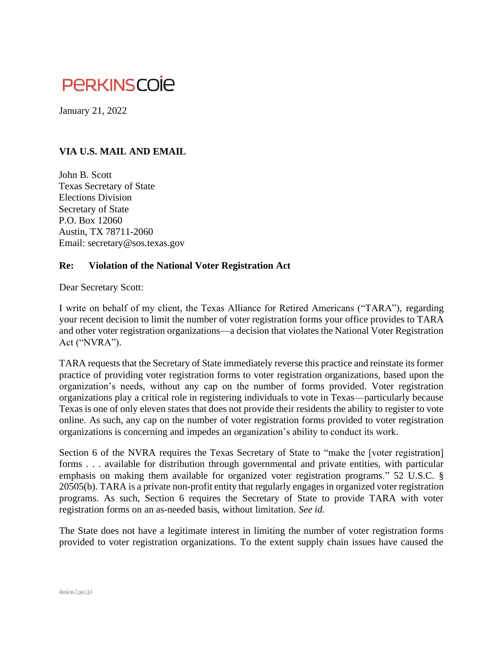## **PERKINSCOIE**

January 21, 2022

## **VIA U.S. MAIL AND EMAIL**

John B. Scott Texas Secretary of State Elections Division Secretary of State P.O. Box 12060 Austin, TX 78711-2060 Email: secretary@sos.texas.gov

## **Re: Violation of the National Voter Registration Act**

Dear Secretary Scott:

I write on behalf of my client, the Texas Alliance for Retired Americans ("TARA"), regarding your recent decision to limit the number of voter registration forms your office provides to TARA and other voter registration organizations—a decision that violates the National Voter Registration Act ("NVRA").

TARA requests that the Secretary of State immediately reverse this practice and reinstate its former practice of providing voter registration forms to voter registration organizations, based upon the organization's needs, without any cap on the number of forms provided. Voter registration organizations play a critical role in registering individuals to vote in Texas—particularly because Texas is one of only eleven states that does not provide their residents the ability to register to vote online. As such, any cap on the number of voter registration forms provided to voter registration organizations is concerning and impedes an organization's ability to conduct its work.

Section 6 of the NVRA requires the Texas Secretary of State to "make the [voter registration] forms . . . available for distribution through governmental and private entities, with particular emphasis on making them available for organized voter registration programs." 52 U.S.C. § 20505(b). TARA is a private non-profit entity that regularly engages in organized voter registration programs. As such, Section 6 requires the Secretary of State to provide TARA with voter registration forms on an as-needed basis, without limitation. *See id.* 

The State does not have a legitimate interest in limiting the number of voter registration forms provided to voter registration organizations. To the extent supply chain issues have caused the